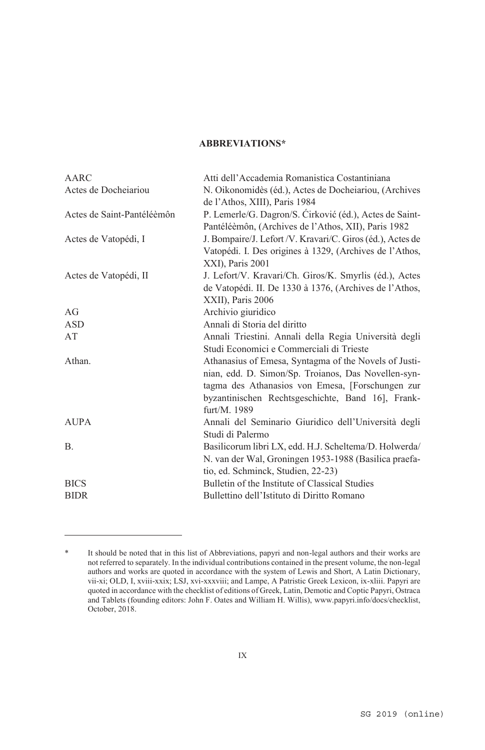## **ABBREVIATIONS\***

| Atti dell'Accademia Romanistica Costantiniana                                                                  |
|----------------------------------------------------------------------------------------------------------------|
| N. Oikonomidès (éd.), Actes de Docheiariou, (Archives                                                          |
| de l'Athos, XIII), Paris 1984                                                                                  |
| P. Lemerle/G. Dagron/S. Ćirković (éd.), Actes de Saint-<br>Pantéléèmôn, (Archives de l'Athos, XII), Paris 1982 |
| J. Bompaire/J. Lefort/V. Kravari/C. Giros (éd.), Actes de                                                      |
| Vatopédi. I. Des origines à 1329, (Archives de l'Athos,                                                        |
| XXI), Paris 2001                                                                                               |
| J. Lefort/V. Kravari/Ch. Giros/K. Smyrlis (éd.), Actes                                                         |
| de Vatopédi. II. De 1330 à 1376, (Archives de l'Athos,                                                         |
| XXII), Paris 2006                                                                                              |
| Archivio giuridico                                                                                             |
| Annali di Storia del diritto                                                                                   |
| Annali Triestini. Annali della Regia Università degli                                                          |
| Studi Economici e Commerciali di Trieste                                                                       |
| Athanasius of Emesa, Syntagma of the Novels of Justi-                                                          |
| nian, edd. D. Simon/Sp. Troianos, Das Novellen-syn-                                                            |
| tagma des Athanasios von Emesa, [Forschungen zur                                                               |
| byzantinischen Rechtsgeschichte, Band 16], Frank-                                                              |
| furt/M. 1989                                                                                                   |
| Annali del Seminario Giuridico dell'Università degli                                                           |
| Studi di Palermo                                                                                               |
| Basilicorum libri LX, edd. H.J. Scheltema/D. Holwerda/                                                         |
| N. van der Wal, Groningen 1953-1988 (Basilica praefa-                                                          |
| tio, ed. Schminck, Studien, 22-23)                                                                             |
| Bulletin of the Institute of Classical Studies                                                                 |
| Bullettino dell'Istituto di Diritto Romano                                                                     |
|                                                                                                                |

 $\overline{a}$ 

<sup>\*</sup> It should be noted that in this list of Abbreviations, papyri and non-legal authors and their works are not referred to separately. In the individual contributions contained in the present volume, the non-legal authors and works are quoted in accordance with the system of Lewis and Short, A Latin Dictionary, vii-xi; OLD, I, xviii-xxix; LSJ, xvi-xxxviii; and Lampe, A Patristic Greek Lexicon, ix-xliii. Papyri are quoted in accordance with the checklist of editions of Greek, Latin, Demotic and Coptic Papyri, Ostraca and Tablets (founding editors: John F. Oates and William H. Willis), www.papyri.info/docs/checklist, October, 2018.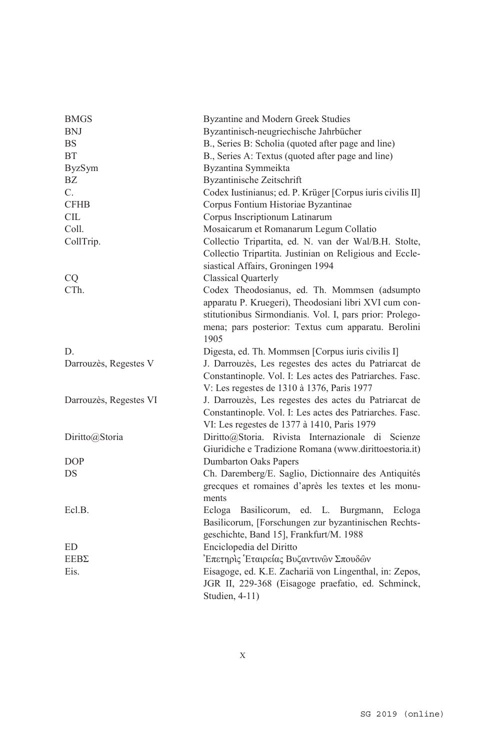| <b>BMGS</b>            | Byzantine and Modern Greek Studies                         |
|------------------------|------------------------------------------------------------|
| <b>BNJ</b>             | Byzantinisch-neugriechische Jahrbücher                     |
| $\mathbf{B}\mathbf{S}$ | B., Series B: Scholia (quoted after page and line)         |
| ΒT                     | B., Series A: Textus (quoted after page and line)          |
| <b>ByzSym</b>          | Byzantina Symmeikta                                        |
| BZ                     | Byzantinische Zeitschrift                                  |
| C.                     | Codex Iustinianus; ed. P. Krüger [Corpus iuris civilis II] |
| <b>CFHB</b>            | Corpus Fontium Historiae Byzantinae                        |
| CIL                    | Corpus Inscriptionum Latinarum                             |
| Coll.                  | Mosaicarum et Romanarum Legum Collatio                     |
| CollTrip.              | Collectio Tripartita, ed. N. van der Wal/B.H. Stolte,      |
|                        | Collectio Tripartita. Justinian on Religious and Eccle-    |
|                        | siastical Affairs, Groningen 1994                          |
| CQ                     | <b>Classical Quarterly</b>                                 |
| CTh.                   | Codex Theodosianus, ed. Th. Mommsen (adsumpto              |
|                        | apparatu P. Kruegeri), Theodosiani libri XVI cum con-      |
|                        | stitutionibus Sirmondianis. Vol. I, pars prior: Prolego-   |
|                        | mena; pars posterior: Textus cum apparatu. Berolini        |
|                        | 1905                                                       |
| D.                     | Digesta, ed. Th. Mommsen [Corpus iuris civilis I]          |
| Darrouzès, Regestes V  | J. Darrouzès, Les regestes des actes du Patriarcat de      |
|                        | Constantinople. Vol. I: Les actes des Patriarches. Fasc.   |
|                        | V: Les regestes de 1310 à 1376, Paris 1977                 |
| Darrouzès, Regestes VI | J. Darrouzès, Les regestes des actes du Patriarcat de      |
|                        | Constantinople. Vol. I: Les actes des Patriarches. Fasc.   |
|                        | VI: Les regestes de 1377 à 1410, Paris 1979                |
| Diritto@Storia         | Diritto@Storia. Rivista Internazionale di<br>Scienze       |
|                        | Giuridiche e Tradizione Romana (www.dirittoestoria.it)     |
| <b>DOP</b>             | <b>Dumbarton Oaks Papers</b>                               |
| DS                     | Ch. Daremberg/E. Saglio, Dictionnaire des Antiquités       |
|                        | grecques et romaines d'après les textes et les monu-       |
|                        | ments                                                      |
| Ecl.B.                 | Ecloga<br>Basilicorum, ed. L. Burgmann,<br>Ecloga          |
|                        | Basilicorum, [Forschungen zur byzantinischen Rechts-       |
|                        | geschichte, Band 15], Frankfurt/M. 1988                    |
| ED                     | Enciclopedia del Diritto                                   |
| $EEB\Sigma$            | Επετηρις Εταιρείας Βυζαντινών Σπουδών                      |
| Eis.                   | Eisagoge, ed. K.E. Zachariä von Lingenthal, in: Zepos,     |
|                        | JGR II, 229-368 (Eisagoge praefatio, ed. Schminck,         |
|                        | Studien, 4-11)                                             |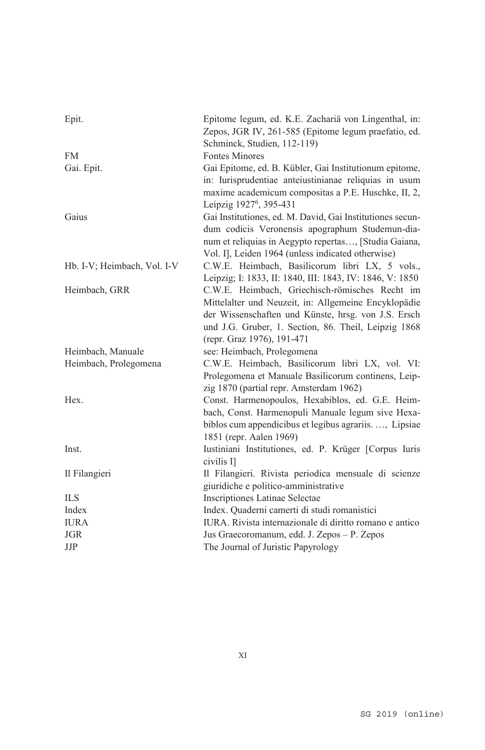| Epit.                       | Epitome legum, ed. K.E. Zachariä von Lingenthal, in:<br>Zepos, JGR IV, 261-585 (Epitome legum praefatio, ed.                                                                                                                                        |
|-----------------------------|-----------------------------------------------------------------------------------------------------------------------------------------------------------------------------------------------------------------------------------------------------|
| <b>FM</b>                   | Schminck, Studien, 112-119)<br><b>Fontes Minores</b>                                                                                                                                                                                                |
| Gai. Epit.                  | Gai Epitome, ed. B. Kübler, Gai Institutionum epitome,<br>in: Iurisprudentiae anteiustinianae reliquias in usum<br>maxime academicum compositas a P.E. Huschke, II, 2,<br>Leipzig 1927 <sup>6</sup> , 395-431                                       |
| Gaius                       | Gai Institutiones, ed. M. David, Gai Institutiones secun-<br>dum codicis Veronensis apographum Studemun-dia-<br>num et reliquias in Aegypto repertas, [Studia Gaiana,<br>Vol. I], Leiden 1964 (unless indicated otherwise)                          |
| Hb. I-V; Heimbach, Vol. I-V | C.W.E. Heimbach, Basilicorum libri LX, 5 vols.,<br>Leipzig; I: 1833, II: 1840, III: 1843, IV: 1846, V: 1850                                                                                                                                         |
| Heimbach, GRR               | C.W.E. Heimbach, Griechisch-römisches Recht im<br>Mittelalter und Neuzeit, in: Allgemeine Encyklopädie<br>der Wissenschaften und Künste, hrsg. von J.S. Ersch<br>und J.G. Gruber, 1. Section, 86. Theil, Leipzig 1868<br>(repr. Graz 1976), 191-471 |
| Heimbach, Manuale           | see: Heimbach, Prolegomena                                                                                                                                                                                                                          |
| Heimbach, Prolegomena       | C.W.E. Heimbach, Basilicorum libri LX, vol. VI:<br>Prolegomena et Manuale Basilicorum continens, Leip-<br>zig 1870 (partial repr. Amsterdam 1962)                                                                                                   |
| Hex.                        | Const. Harmenopoulos, Hexabiblos, ed. G.E. Heim-<br>bach, Const. Harmenopuli Manuale legum sive Hexa-<br>biblos cum appendicibus et legibus agrariis, Lipsiae<br>1851 (repr. Aalen 1969)                                                            |
| Inst.                       | Iustiniani Institutiones, ed. P. Krüger [Corpus Iuris<br>civilis Il                                                                                                                                                                                 |
| Il Filangieri               | Il Filangieri. Rivista periodica mensuale di scienze<br>giuridiche e politico-amministrative                                                                                                                                                        |
| <b>ILS</b>                  | Inscriptiones Latinae Selectae                                                                                                                                                                                                                      |
| Index                       | Index. Quaderni camerti di studi romanistici                                                                                                                                                                                                        |
| <b>IURA</b>                 | IURA. Rivista internazionale di diritto romano e antico                                                                                                                                                                                             |
| <b>JGR</b>                  | Jus Graecoromanum, edd. J. Zepos - P. Zepos                                                                                                                                                                                                         |
| JJP                         | The Journal of Juristic Papyrology                                                                                                                                                                                                                  |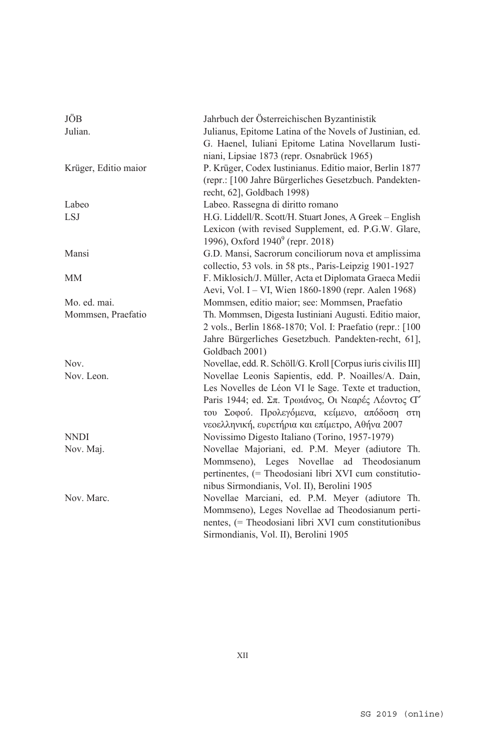| JÖB<br>Julian.       | Jahrbuch der Österreichischen Byzantinistik<br>Julianus, Epitome Latina of the Novels of Justinian, ed.<br>G. Haenel, Iuliani Epitome Latina Novellarum Iusti-<br>niani, Lipsiae 1873 (repr. Osnabrück 1965)                                                           |
|----------------------|------------------------------------------------------------------------------------------------------------------------------------------------------------------------------------------------------------------------------------------------------------------------|
| Krüger, Editio maior | P. Krüger, Codex Iustinianus. Editio maior, Berlin 1877<br>(repr.: [100 Jahre Bürgerliches Gesetzbuch. Pandekten-<br>recht, 62], Goldbach 1998)                                                                                                                        |
| Labeo                | Labeo. Rassegna di diritto romano                                                                                                                                                                                                                                      |
| <b>LSJ</b>           | H.G. Liddell/R. Scott/H. Stuart Jones, A Greek - English<br>Lexicon (with revised Supplement, ed. P.G.W. Glare,<br>1996), Oxford 1940 <sup>9</sup> (repr. 2018)                                                                                                        |
| Mansi                | G.D. Mansi, Sacrorum conciliorum nova et amplissima<br>collectio, 53 vols. in 58 pts., Paris-Leipzig 1901-1927                                                                                                                                                         |
| MM                   | F. Miklosich/J. Müller, Acta et Diplomata Graeca Medii<br>Aevi, Vol. I - VI, Wien 1860-1890 (repr. Aalen 1968)                                                                                                                                                         |
| Mo. ed. mai.         | Mommsen, editio maior; see: Mommsen, Praefatio                                                                                                                                                                                                                         |
| Mommsen, Praefatio   | Th. Mommsen, Digesta Iustiniani Augusti. Editio maior,<br>2 vols., Berlin 1868-1870; Vol. I: Praefatio (repr.: [100<br>Jahre Bürgerliches Gesetzbuch. Pandekten-recht, 61],<br>Goldbach 2001)                                                                          |
| Nov.                 | Novellae, edd. R. Schöll/G. Kroll [Corpus iuris civilis III]                                                                                                                                                                                                           |
| Nov. Leon.           | Novellae Leonis Sapientis, edd. P. Noailles/A. Dain,<br>Les Novelles de Léon VI le Sage. Texte et traduction,<br>Paris 1944; ed. Σπ. Τρωιάνος, Οι Νεαρές Λέοντος Ο'<br>του Σοφού. Προλεγόμενα, κείμενο, απόδοση στη<br>νεοελληνική, ευρετήρια και επίμετρο, Αθήνα 2007 |
| <b>NNDI</b>          | Novissimo Digesto Italiano (Torino, 1957-1979)                                                                                                                                                                                                                         |
| Nov. Maj.            | Novellae Majoriani, ed. P.M. Meyer (adiutore Th.<br>Mommseno), Leges Novellae ad Theodosianum<br>pertinentes, (= Theodosiani libri XVI cum constitutio-<br>nibus Sirmondianis, Vol. II), Berolini 1905                                                                 |
| Nov. Marc.           | Novellae Marciani, ed. P.M. Meyer (adiutore Th.<br>Mommseno), Leges Novellae ad Theodosianum perti-<br>nentes, (= Theodosiani libri XVI cum constitutionibus<br>Sirmondianis, Vol. II), Berolini 1905                                                                  |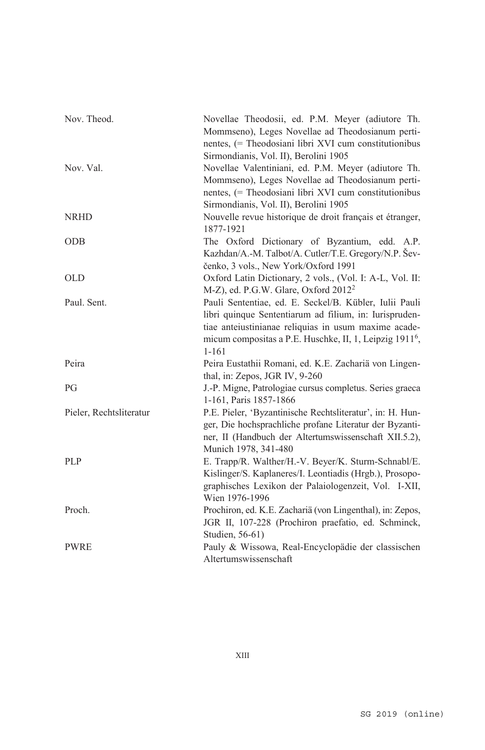| Nov. Theod.             | Novellae Theodosii, ed. P.M. Meyer (adiutore Th.<br>Mommseno), Leges Novellae ad Theodosianum perti-<br>nentes, (= Theodosiani libri XVI cum constitutionibus<br>Sirmondianis, Vol. II), Berolini 1905                                                       |
|-------------------------|--------------------------------------------------------------------------------------------------------------------------------------------------------------------------------------------------------------------------------------------------------------|
| Nov. Val.               | Novellae Valentiniani, ed. P.M. Meyer (adiutore Th.<br>Mommseno), Leges Novellae ad Theodosianum perti-<br>nentes, (= Theodosiani libri XVI cum constitutionibus<br>Sirmondianis, Vol. II), Berolini 1905                                                    |
| <b>NRHD</b>             | Nouvelle revue historique de droit français et étranger,<br>1877-1921                                                                                                                                                                                        |
| <b>ODB</b>              | The Oxford Dictionary of Byzantium, edd. A.P.<br>Kazhdan/A.-M. Talbot/A. Cutler/T.E. Gregory/N.P. Šev-<br>čenko, 3 vols., New York/Oxford 1991                                                                                                               |
| <b>OLD</b>              | Oxford Latin Dictionary, 2 vols., (Vol. I: A-L, Vol. II:<br>M-Z), ed. P.G.W. Glare, Oxford 2012 <sup>2</sup>                                                                                                                                                 |
| Paul. Sent.             | Pauli Sententiae, ed. E. Seckel/B. Kübler, Iulii Pauli<br>libri quinque Sententiarum ad filium, in: Iurispruden-<br>tiae anteiustinianae reliquias in usum maxime acade-<br>micum compositas a P.E. Huschke, II, 1, Leipzig 1911 <sup>6</sup> ,<br>$1 - 161$ |
| Peira                   | Peira Eustathii Romani, ed. K.E. Zachariä von Lingen-<br>thal, in: Zepos, JGR IV, 9-260                                                                                                                                                                      |
| PG                      | J.-P. Migne, Patrologiae cursus completus. Series graeca<br>1-161, Paris 1857-1866                                                                                                                                                                           |
| Pieler, Rechtsliteratur | P.E. Pieler, 'Byzantinische Rechtsliteratur', in: H. Hun-<br>ger, Die hochsprachliche profane Literatur der Byzanti-<br>ner, II (Handbuch der Altertumswissenschaft XII.5.2),<br>Munich 1978, 341-480                                                        |
| <b>PLP</b>              | E. Trapp/R. Walther/H.-V. Beyer/K. Sturm-Schnabl/E.<br>Kislinger/S. Kaplaneres/I. Leontiadis (Hrgb.), Prosopo-<br>graphisches Lexikon der Palaiologenzeit, Vol. I-XII,<br>Wien 1976-1996                                                                     |
| Proch.                  | Prochiron, ed. K.E. Zachariä (von Lingenthal), in: Zepos,<br>JGR II, 107-228 (Prochiron praefatio, ed. Schminck,<br>Studien, 56-61)                                                                                                                          |
| <b>PWRE</b>             | Pauly & Wissowa, Real-Encyclopädie der classischen<br>Altertumswissenschaft                                                                                                                                                                                  |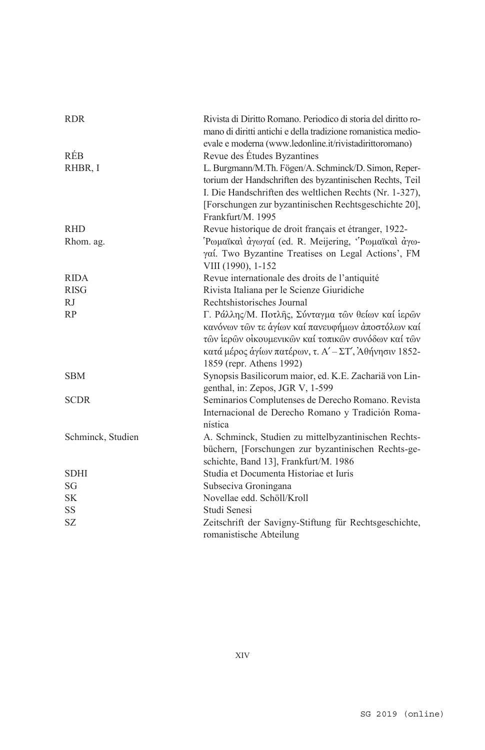| <b>RDR</b>        | Rivista di Diritto Romano. Periodico di storia del diritto ro-<br>mano di diritti antichi e della tradizione romanistica medio-<br>evale e moderna (www.ledonline.it/rivistadirittoromano)                                                                |
|-------------------|-----------------------------------------------------------------------------------------------------------------------------------------------------------------------------------------------------------------------------------------------------------|
| <b>RÉB</b>        | Revue des Études Byzantines                                                                                                                                                                                                                               |
| RHBR, I           | L. Burgmann/M.Th. Fögen/A. Schminck/D. Simon, Reper-<br>torium der Handschriften des byzantinischen Rechts, Teil<br>I. Die Handschriften des weltlichen Rechts (Nr. 1-327),<br>[Forschungen zur byzantinischen Rechtsgeschichte 20],<br>Frankfurt/M. 1995 |
| <b>RHD</b>        | Revue historique de droit français et étranger, 1922-                                                                                                                                                                                                     |
| Rhom. ag.         | Ρωμαϊκαί άγωγαί (ed. R. Meijering, "Ρωμαϊκαί άγω-<br>γαί. Two Byzantine Treatises on Legal Actions', FM<br>VIII (1990), 1-152                                                                                                                             |
| <b>RIDA</b>       | Revue internationale des droits de l'antiquité                                                                                                                                                                                                            |
| <b>RISG</b>       | Rivista Italiana per le Scienze Giuridiche                                                                                                                                                                                                                |
| <b>RJ</b>         | Rechtshistorisches Journal                                                                                                                                                                                                                                |
| RP                | Γ. Ράλλης/Μ. Ποτλής, Σύνταγμα των θείων καί ιερών<br>κανόνων τῶν τε ἁγίων καί πανευφήμων ἀποστόλων καί<br>τῶν ἱερῶν οἰκουμενικῶν καί τοπικῶν συνόδων καί τῶν<br>κατά μέρος αγίων πατέρων, τ. Α' - ΣΤ', Άθήνησιν 1852-<br>1859 (repr. Athens 1992)         |
| <b>SBM</b>        | Synopsis Basilicorum maior, ed. K.E. Zachariä von Lin-<br>genthal, in: Zepos, JGR V, 1-599                                                                                                                                                                |
| <b>SCDR</b>       | Seminarios Complutenses de Derecho Romano. Revista<br>Internacional de Derecho Romano y Tradición Roma-<br>nística                                                                                                                                        |
| Schminck, Studien | A. Schminck, Studien zu mittelbyzantinischen Rechts-<br>büchern, [Forschungen zur byzantinischen Rechts-ge-<br>schichte, Band 13], Frankfurt/M. 1986                                                                                                      |
| <b>SDHI</b>       | Studia et Documenta Historiae et Iuris                                                                                                                                                                                                                    |
| SG                | Subseciva Groningana                                                                                                                                                                                                                                      |
| <b>SK</b>         | Novellae edd. Schöll/Kroll                                                                                                                                                                                                                                |
| <b>SS</b>         | Studi Senesi                                                                                                                                                                                                                                              |
| <b>SZ</b>         | Zeitschrift der Savigny-Stiftung für Rechtsgeschichte,<br>romanistische Abteilung                                                                                                                                                                         |